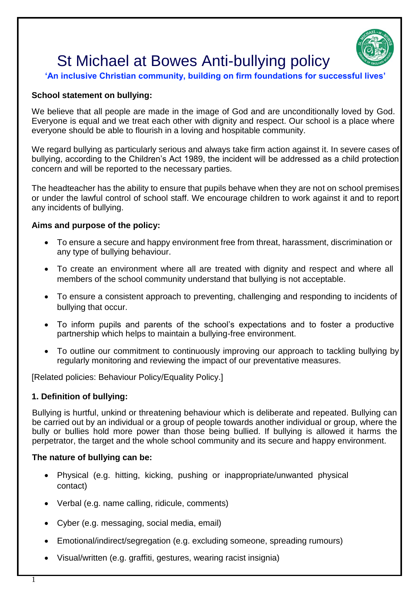

# St Michael at Bowes Anti-bullying policy

# **'An inclusive Christian community, building on firm foundations for successful lives'**

## **School statement on bullying:**

We believe that all people are made in the image of God and are unconditionally loved by God. Everyone is equal and we treat each other with dignity and respect. Our school is a place where everyone should be able to flourish in a loving and hospitable community.

We regard bullying as particularly serious and always take firm action against it. In severe cases of bullying, according to the Children's Act 1989, the incident will be addressed as a child protection concern and will be reported to the necessary parties.

The headteacher has the ability to ensure that pupils behave when they are not on school premises or under the lawful control of school staff. We encourage children to work against it and to report any incidents of bullying.

#### **Aims and purpose of the policy:**

- To ensure a secure and happy environment free from threat, harassment, discrimination or any type of bullying behaviour.
- To create an environment where all are treated with dignity and respect and where all members of the school community understand that bullying is not acceptable.
- To ensure a consistent approach to preventing, challenging and responding to incidents of bullying that occur.
- To inform pupils and parents of the school's expectations and to foster a productive partnership which helps to maintain a bullying-free environment.
- To outline our commitment to continuously improving our approach to tackling bullying by regularly monitoring and reviewing the impact of our preventative measures.

[Related policies: Behaviour Policy/Equality Policy.]

# **1. Definition of bullying:**

Bullying is hurtful, unkind or threatening behaviour which is deliberate and repeated. Bullying can be carried out by an individual or a group of people towards another individual or group, where the bully or bullies hold more power than those being bullied. If bullying is allowed it harms the perpetrator, the target and the whole school community and its secure and happy environment.

#### **The nature of bullying can be:**

- Physical (e.g. hitting, kicking, pushing or inappropriate/unwanted physical contact)
- Verbal (e.g. name calling, ridicule, comments)
- Cyber (e.g. messaging, social media, email)
- Emotional/indirect/segregation (e.g. excluding someone, spreading rumours)
- Visual/written (e.g. graffiti, gestures, wearing racist insignia)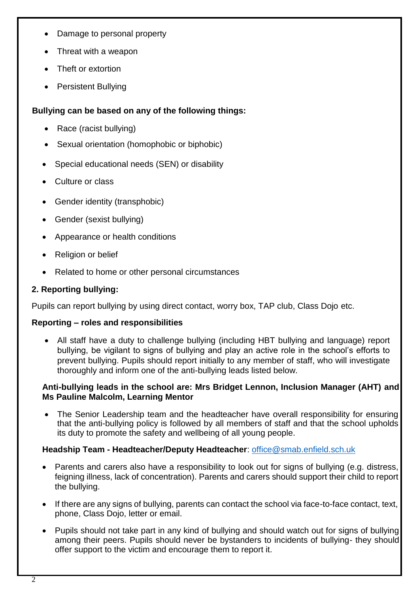- Damage to personal property
- Threat with a weapon
- Theft or extortion
- Persistent Bullying

# **Bullying can be based on any of the following things:**

- Race (racist bullying)
- Sexual orientation (homophobic or biphobic)
- Special educational needs (SEN) or disability
- Culture or class
- Gender identity (transphobic)
- Gender (sexist bullying)
- Appearance or health conditions
- Religion or belief
- Related to home or other personal circumstances

# **2. Reporting bullying:**

Pupils can report bullying by using direct contact, worry box, TAP club, Class Dojo etc.

# **Reporting – roles and responsibilities**

 All staff have a duty to challenge bullying (including HBT bullying and language) report bullying, be vigilant to signs of bullying and play an active role in the school's efforts to prevent bullying. Pupils should report initially to any member of staff, who will investigate thoroughly and inform one of the anti-bullying leads listed below.

# **Anti-bullying leads in the school are: Mrs Bridget Lennon, Inclusion Manager (AHT) and Ms Pauline Malcolm, Learning Mentor**

• The Senior Leadership team and the headteacher have overall responsibility for ensuring that the anti-bullying policy is followed by all members of staff and that the school upholds its duty to promote the safety and wellbeing of all young people.

# **Headship Team - Headteacher/Deputy Headteacher**: [office@smab.enfield.sch.uk](mailto:office@smab.enfield.sch.uk)

- Parents and carers also have a responsibility to look out for signs of bullying (e.g. distress, feigning illness, lack of concentration). Parents and carers should support their child to report the bullying.
- If there are any signs of bullying, parents can contact the school via face-to-face contact, text, phone, Class Dojo, letter or email.
- Pupils should not take part in any kind of bullying and should watch out for signs of bullying among their peers. Pupils should never be bystanders to incidents of bullying- they should offer support to the victim and encourage them to report it.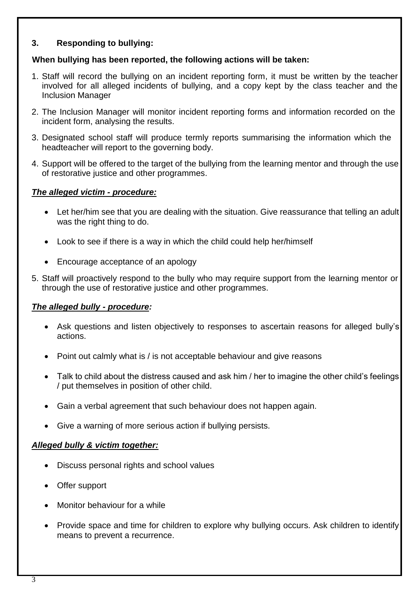## **3. Responding to bullying:**

## **When bullying has been reported, the following actions will be taken:**

- 1. Staff will record the bullying on an incident reporting form, it must be written by the teacher involved for all alleged incidents of bullying, and a copy kept by the class teacher and the Inclusion Manager
- 2. The Inclusion Manager will monitor incident reporting forms and information recorded on the incident form, analysing the results.
- 3. Designated school staff will produce termly reports summarising the information which the headteacher will report to the governing body.
- 4. Support will be offered to the target of the bullying from the learning mentor and through the use of restorative justice and other programmes.

## *The alleged victim - procedure:*

- Let her/him see that you are dealing with the situation. Give reassurance that telling an adult was the right thing to do.
- Look to see if there is a way in which the child could help her/himself
- Encourage acceptance of an apology
- 5. Staff will proactively respond to the bully who may require support from the learning mentor or through the use of restorative justice and other programmes.

# *The alleged bully - procedure:*

- Ask questions and listen objectively to responses to ascertain reasons for alleged bully's actions.
- Point out calmly what is / is not acceptable behaviour and give reasons
- Talk to child about the distress caused and ask him / her to imagine the other child's feelings / put themselves in position of other child.
- Gain a verbal agreement that such behaviour does not happen again.
- Give a warning of more serious action if bullying persists.

#### *Alleged bully & victim together:*

- Discuss personal rights and school values
- Offer support
- Monitor behaviour for a while
- Provide space and time for children to explore why bullying occurs. Ask children to identify means to prevent a recurrence.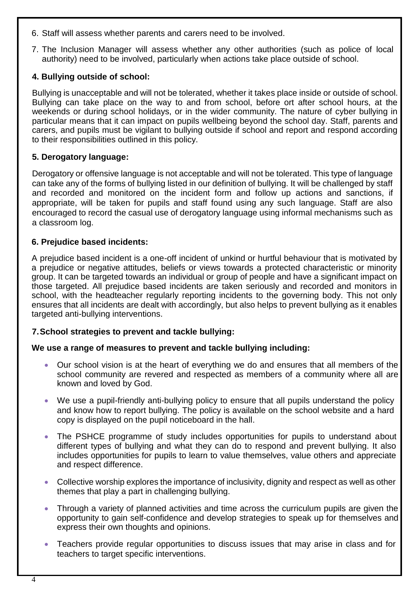- 6. Staff will assess whether parents and carers need to be involved.
- 7. The Inclusion Manager will assess whether any other authorities (such as police of local authority) need to be involved, particularly when actions take place outside of school.

#### **4. Bullying outside of school:**

Bullying is unacceptable and will not be tolerated, whether it takes place inside or outside of school. Bullying can take place on the way to and from school, before ort after school hours, at the weekends or during school holidays, or in the wider community. The nature of cyber bullying in particular means that it can impact on pupils wellbeing beyond the school day. Staff, parents and carers, and pupils must be vigilant to bullying outside if school and report and respond according to their responsibilities outlined in this policy.

## **5. Derogatory language:**

Derogatory or offensive language is not acceptable and will not be tolerated. This type of language can take any of the forms of bullying listed in our definition of bullying. It will be challenged by staff and recorded and monitored on the incident form and follow up actions and sanctions, if appropriate, will be taken for pupils and staff found using any such language. Staff are also encouraged to record the casual use of derogatory language using informal mechanisms such as a classroom log.

## **6. Prejudice based incidents:**

A prejudice based incident is a one-off incident of unkind or hurtful behaviour that is motivated by a prejudice or negative attitudes, beliefs or views towards a protected characteristic or minority group. It can be targeted towards an individual or group of people and have a significant impact on those targeted. All prejudice based incidents are taken seriously and recorded and monitors in school, with the headteacher regularly reporting incidents to the governing body. This not only ensures that all incidents are dealt with accordingly, but also helps to prevent bullying as it enables targeted anti-bullying interventions.

#### **7.School strategies to prevent and tackle bullying:**

#### **We use a range of measures to prevent and tackle bullying including:**

- Our school vision is at the heart of everything we do and ensures that all members of the school community are revered and respected as members of a community where all are known and loved by God.
- We use a pupil-friendly anti-bullying policy to ensure that all pupils understand the policy and know how to report bullying. The policy is available on the school website and a hard copy is displayed on the pupil noticeboard in the hall.
- The PSHCE programme of study includes opportunities for pupils to understand about different types of bullying and what they can do to respond and prevent bullying. It also includes opportunities for pupils to learn to value themselves, value others and appreciate and respect difference.
- Collective worship explores the importance of inclusivity, dignity and respect as well as other themes that play a part in challenging bullying.
- Through a variety of planned activities and time across the curriculum pupils are given the opportunity to gain self-confidence and develop strategies to speak up for themselves and express their own thoughts and opinions.
- Teachers provide regular opportunities to discuss issues that may arise in class and for teachers to target specific interventions.